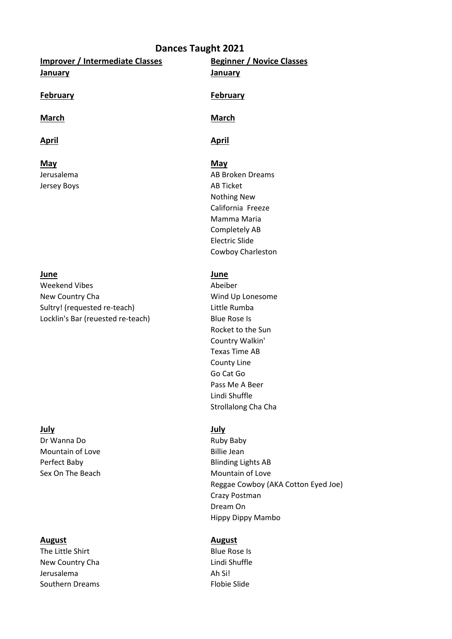### **Dances Taught 2021**

**Improver / Intermediate Classes Beginner / Novice Classes January January**

**May May** Jersey Boys **AB Ticket** 

### **June June**

Weekend Vibes **Abeiber** Abeiber New Country Cha **Wind Up Lonesome** Sultry! (requested re-teach) Little Rumba Locklin's Bar (reuested re-teach) Blue Rose Is

Dr Wanna Do **Ruby Baby** Mountain of Love **Billie** Jean Perfect Baby **Blinding Lights AB** Sex On The Beach Mountain of Love

### **August August**

The Little Shirt **Blue Rose Is** New Country Cha **Lindi Shuffle** Jerusalema **Ah Sil** Southern Dreams Flobie Slide

### **February February**

## **March March**

### **April April**

Jerusalema **AB Broken Dreams** AB Broken Dreams Nothing New California Freeze Mamma Maria Completely AB Electric Slide Cowboy Charleston

Rocket to the Sun Country Walkin' Texas Time AB County Line Go Cat Go Pass Me A Beer Lindi Shuffle Strollalong Cha Cha

### **July July**

Reggae Cowboy (AKA Cotton Eyed Joe) Crazy Postman Dream On Hippy Dippy Mambo